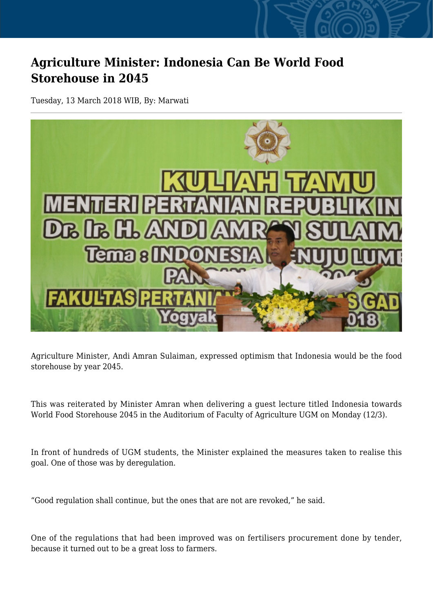## **Agriculture Minister: Indonesia Can Be World Food Storehouse in 2045**

Tuesday, 13 March 2018 WIB, By: Marwati



Agriculture Minister, Andi Amran Sulaiman, expressed optimism that Indonesia would be the food storehouse by year 2045.

This was reiterated by Minister Amran when delivering a guest lecture titled Indonesia towards World Food Storehouse 2045 in the Auditorium of Faculty of Agriculture UGM on Monday (12/3).

In front of hundreds of UGM students, the Minister explained the measures taken to realise this goal. One of those was by deregulation.

"Good regulation shall continue, but the ones that are not are revoked," he said.

One of the regulations that had been improved was on fertilisers procurement done by tender, because it turned out to be a great loss to farmers.